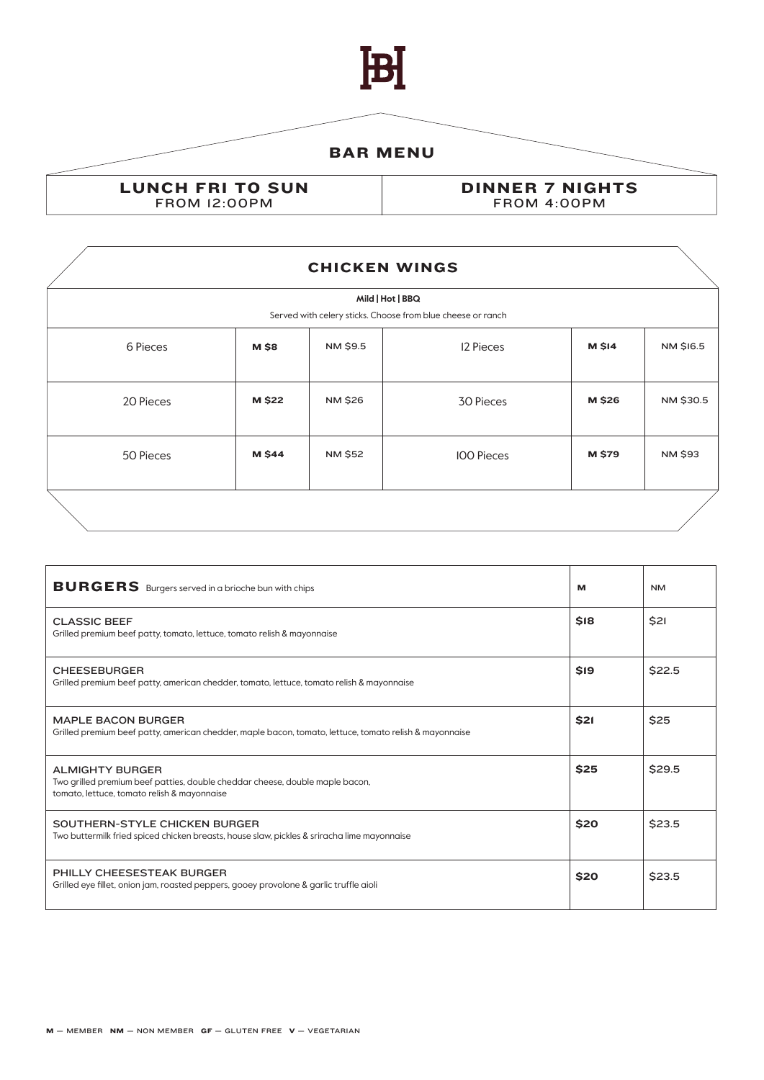

## BAR MENU

LUNCH FRI TO SUN FROM 12:00PM

DINNER 7 NIGHTS FROM 4:00PM

|                                                                                 |              |                | <b>CHICKEN WINGS</b> |               |                |
|---------------------------------------------------------------------------------|--------------|----------------|----------------------|---------------|----------------|
| Mild   Hot   BBQ<br>Served with celery sticks. Choose from blue cheese or ranch |              |                |                      |               |                |
| 6 Pieces                                                                        | <b>M</b> \$8 | NM \$9.5       | 12 Pieces            | <b>M \$14</b> | NM \$16.5      |
| 20 Pieces                                                                       | M \$22       | NM \$26        | 30 Pieces            | M \$26        | NM \$30.5      |
| 50 Pieces                                                                       | M \$44       | <b>NM \$52</b> | <b>IOO Pieces</b>    | M \$79        | <b>NM \$93</b> |
|                                                                                 |              |                |                      |               |                |

| <b>BURGERS</b> Burgers served in a brioche bun with chips                                                                                             | M           | <b>NM</b> |
|-------------------------------------------------------------------------------------------------------------------------------------------------------|-------------|-----------|
| <b>CLASSIC BEEF</b><br>Grilled premium beef patty, tomato, lettuce, tomato relish & mayonnaise                                                        | <b>SI8</b>  | \$21      |
| <b>CHEESEBURGER</b><br>Grilled premium beef patty, american chedder, tomato, lettuce, tomato relish & mayonnaise                                      | \$19        | \$22.5    |
| <b>MAPLE BACON BURGER</b><br>Grilled premium beef patty, american chedder, maple bacon, tomato, lettuce, tomato relish & mayonnaise                   | <b>\$21</b> | \$25      |
| <b>ALMIGHTY BURGER</b><br>Two grilled premium beef patties, double cheddar cheese, double maple bacon,<br>tomato, lettuce, tomato relish & mayonnaise | \$25        | \$29.5    |
| SOUTHERN-STYLE CHICKEN BURGER<br>Two buttermilk fried spiced chicken breasts, house slaw, pickles & sriracha lime mayonnaise                          | \$20        | \$23.5    |
| PHILLY CHEESESTEAK BURGER<br>Grilled eye fillet, onion jam, roasted peppers, gooey provolone & garlic truffle aioli                                   | \$20        | \$23.5    |